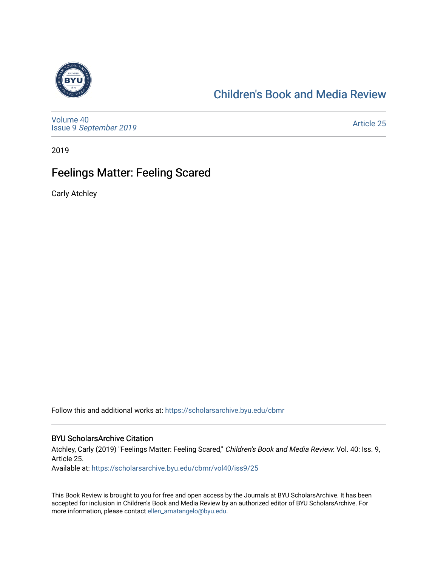

## [Children's Book and Media Review](https://scholarsarchive.byu.edu/cbmr)

[Volume 40](https://scholarsarchive.byu.edu/cbmr/vol40) Issue 9 [September 2019](https://scholarsarchive.byu.edu/cbmr/vol40/iss9) 

[Article 25](https://scholarsarchive.byu.edu/cbmr/vol40/iss9/25) 

2019

## Feelings Matter: Feeling Scared

Carly Atchley

Follow this and additional works at: [https://scholarsarchive.byu.edu/cbmr](https://scholarsarchive.byu.edu/cbmr?utm_source=scholarsarchive.byu.edu%2Fcbmr%2Fvol40%2Fiss9%2F25&utm_medium=PDF&utm_campaign=PDFCoverPages) 

#### BYU ScholarsArchive Citation

Atchley, Carly (2019) "Feelings Matter: Feeling Scared," Children's Book and Media Review: Vol. 40: Iss. 9, Article 25.

Available at: [https://scholarsarchive.byu.edu/cbmr/vol40/iss9/25](https://scholarsarchive.byu.edu/cbmr/vol40/iss9/25?utm_source=scholarsarchive.byu.edu%2Fcbmr%2Fvol40%2Fiss9%2F25&utm_medium=PDF&utm_campaign=PDFCoverPages)

This Book Review is brought to you for free and open access by the Journals at BYU ScholarsArchive. It has been accepted for inclusion in Children's Book and Media Review by an authorized editor of BYU ScholarsArchive. For more information, please contact [ellen\\_amatangelo@byu.edu.](mailto:ellen_amatangelo@byu.edu)